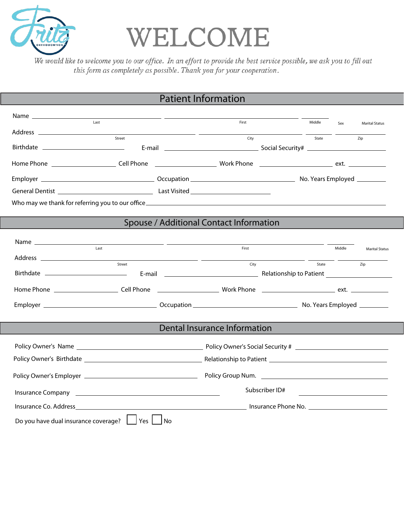

## WELCOME

We would like to welcome you to our office. In an effort to provide the best service possible, we ask you to fill out this form as completely as possible. Thank you for your cooperation.

## Patient Information

| Last                                            |                                                                              | First                        |                | Middle |        |                                                    |  |  |
|-------------------------------------------------|------------------------------------------------------------------------------|------------------------------|----------------|--------|--------|----------------------------------------------------|--|--|
|                                                 | <u> 1989 - Johann Marie Barn, mars an t-Amerikaansk kommunister (* 1908)</u> |                              |                |        | Sex    | <b>Marital Status</b>                              |  |  |
|                                                 | Street                                                                       | City                         |                | State  |        | Zip                                                |  |  |
|                                                 |                                                                              |                              |                |        |        |                                                    |  |  |
|                                                 |                                                                              |                              |                |        |        |                                                    |  |  |
|                                                 |                                                                              |                              |                |        |        |                                                    |  |  |
|                                                 |                                                                              |                              |                |        |        |                                                    |  |  |
|                                                 |                                                                              |                              |                |        |        |                                                    |  |  |
|                                                 |                                                                              |                              |                |        |        |                                                    |  |  |
| Spouse / Additional Contact Information         |                                                                              |                              |                |        |        |                                                    |  |  |
|                                                 |                                                                              |                              |                |        |        |                                                    |  |  |
| Last                                            |                                                                              | First                        |                |        | Middle | <b>Marital Status</b>                              |  |  |
|                                                 | Street                                                                       | City                         |                | State  |        | Zip                                                |  |  |
| Birthdate ____________________________          |                                                                              |                              |                |        |        |                                                    |  |  |
|                                                 |                                                                              |                              |                |        |        |                                                    |  |  |
|                                                 |                                                                              |                              |                |        |        |                                                    |  |  |
|                                                 |                                                                              |                              |                |        |        |                                                    |  |  |
|                                                 |                                                                              | Dental Insurance Information |                |        |        |                                                    |  |  |
|                                                 |                                                                              |                              |                |        |        |                                                    |  |  |
|                                                 |                                                                              |                              |                |        |        |                                                    |  |  |
|                                                 |                                                                              |                              |                |        |        |                                                    |  |  |
|                                                 |                                                                              |                              | Subscriber ID# |        |        | <u> 1989 - John Stein, Amerikaansk politiker (</u> |  |  |
|                                                 |                                                                              |                              |                |        |        |                                                    |  |  |
| Do you have dual insurance coverage?   Yes   No |                                                                              |                              |                |        |        |                                                    |  |  |